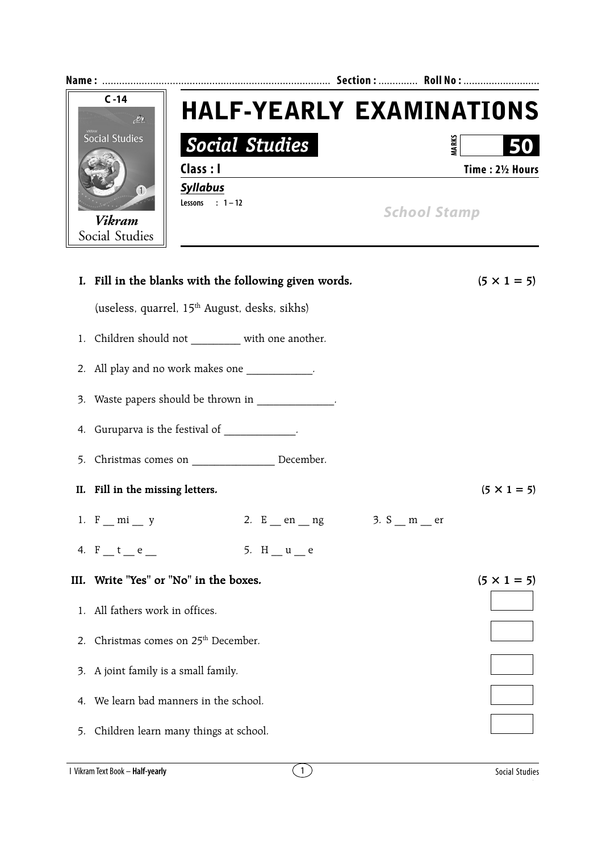|    | $C - 14$<br>$\mathcal{M}$<br><b>Social Studies</b><br>(1)<br><b>Vikram</b><br>Social Studies | <b>Social Studies</b><br>Class : I<br><b>Syllabus</b><br>Lessons : $1-12$ |                      | <b>HALF-YEARLY EXAMINATIONS</b><br><b>AARKS</b><br>Time: 21/2 Hours<br><b>School Stamp</b> |
|----|----------------------------------------------------------------------------------------------|---------------------------------------------------------------------------|----------------------|--------------------------------------------------------------------------------------------|
|    |                                                                                              | I. Fill in the blanks with the following given words.                     |                      | $(5 \times 1 = 5)$                                                                         |
|    |                                                                                              | (useless, quarrel, 15 <sup>th</sup> August, desks, sikhs)                 |                      |                                                                                            |
| 1. |                                                                                              | Children should not _________ with one another.                           |                      |                                                                                            |
|    |                                                                                              | 2. All play and no work makes one __________.                             |                      |                                                                                            |
|    |                                                                                              | 3. Waste papers should be thrown in ____________.                         |                      |                                                                                            |
|    |                                                                                              | 4. Guruparva is the festival of ____________.                             |                      |                                                                                            |
| 5. |                                                                                              |                                                                           |                      |                                                                                            |
|    | II. Fill in the missing letters.                                                             |                                                                           |                      | $(5 \times 1 = 5)$                                                                         |
|    | 1. F mi y                                                                                    |                                                                           | 2. E en ng 3. S m er |                                                                                            |

| III. Write "Yes" or "No" in the boxes.           | $(5 \times 1 = 5)$ |
|--------------------------------------------------|--------------------|
| 1. All fathers work in offices.                  |                    |
| 2. Christmas comes on 25 <sup>th</sup> December. |                    |
| 3. A joint family is a small family.             |                    |
| 4. We learn bad manners in the school.           |                    |
| 5. Children learn many things at school.         |                    |
|                                                  |                    |

4.  $F_t = t_e$  = 5.  $H_t = u_e$